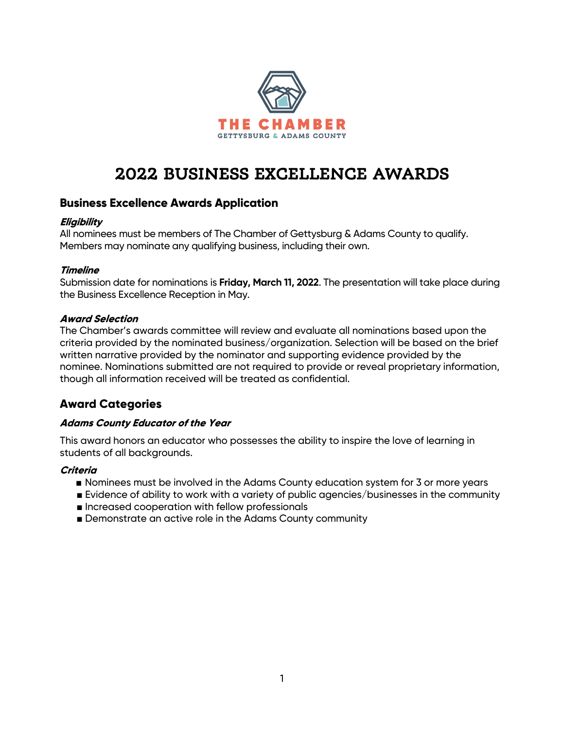

# 2022 BUSINESS EXCELLENCE AWARDS

## **Business Excellence Awards Application**

#### **Eligibility**

All nominees must be members of The Chamber of Gettysburg & Adams County to qualify. Members may nominate any qualifying business, including their own.

#### **Timeline**

Submission date for nominations is **Friday, March 11, 2022**. The presentation will take place during the Business Excellence Reception in May.

## **Award Selection**

The Chamber's awards committee will review and evaluate all nominations based upon the criteria provided by the nominated business/organization. Selection will be based on the brief written narrative provided by the nominator and supporting evidence provided by the nominee. Nominations submitted are not required to provide or reveal proprietary information, though all information received will be treated as confidential.

# **Award Categories**

#### **Adams County Educator of the Year**

This award honors an educator who possesses the ability to inspire the love of learning in students of all backgrounds.

#### **Criteria**

- Nominees must be involved in the Adams County education system for 3 or more years
- Evidence of ability to work with a variety of public agencies/businesses in the community
- Increased cooperation with fellow professionals
- Demonstrate an active role in the Adams County community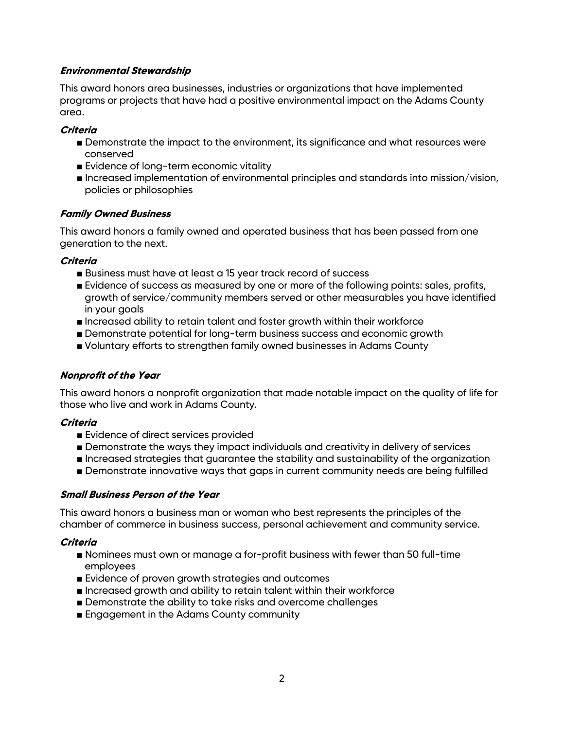## **Environmental Stewardship**

This award honors area businesses, industries or organizations that have implemented programs or projects that have had a positive environmental impact on the Adams County area.

#### **Criteria**

- Demonstrate the impact to the environment, its significance and what resources were conserved
- Evidence of long-term economic vitality
- Increased implementation of environmental principles and standards into mission/vision, policies or philosophies

#### **Family Owned Business**

This award honors a family owned and operated business that has been passed from one generation to the next.

#### **Criteria**

- Business must have at least a 15 year track record of success
- Evidence of success as measured by one or more of the following points: sales, profits, growth of service/community members served or other measurables you have identified in your goals
- Increased ability to retain talent and foster growth within their workforce
- Demonstrate potential for long-term business success and economic growth
- Voluntary efforts to strengthen family owned businesses in Adams County

#### **Nonprofit of the Year**

This award honors a nonprofit organization that made notable impact on the quality of life for those who live and work in Adams County.

#### **Criteria**

- Evidence of direct services provided
- Demonstrate the ways they impact individuals and creativity in delivery of services
- Increased strategies that guarantee the stability and sustainability of the organization
- Demonstrate innovative ways that gaps in current community needs are being fulfilled

#### **Small Business Person of the Year**

This award honors a business man or woman who best represents the principles of the chamber of commerce in business success, personal achievement and community service.

#### **Criteria**

- Nominees must own or manage a for-profit business with fewer than 50 full-time employees
- Evidence of proven growth strategies and outcomes
- Increased growth and ability to retain talent within their workforce
- Demonstrate the ability to take risks and overcome challenges
- Engagement in the Adams County community